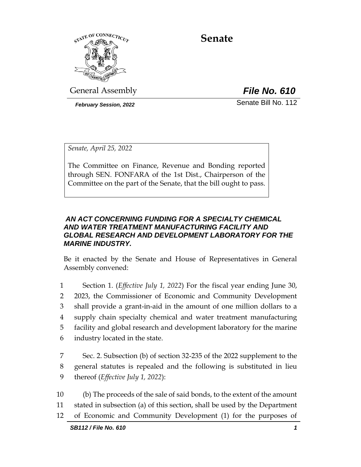

# **Senate**

General Assembly *File No. 610*

*February Session, 2022* Senate Bill No. 112

*Senate, April 25, 2022*

The Committee on Finance, Revenue and Bonding reported through SEN. FONFARA of the 1st Dist., Chairperson of the Committee on the part of the Senate, that the bill ought to pass.

# *AN ACT CONCERNING FUNDING FOR A SPECIALTY CHEMICAL AND WATER TREATMENT MANUFACTURING FACILITY AND GLOBAL RESEARCH AND DEVELOPMENT LABORATORY FOR THE MARINE INDUSTRY.*

Be it enacted by the Senate and House of Representatives in General Assembly convened:

 Section 1. (*Effective July 1, 2022*) For the fiscal year ending June 30, 2023, the Commissioner of Economic and Community Development shall provide a grant-in-aid in the amount of one million dollars to a supply chain specialty chemical and water treatment manufacturing facility and global research and development laboratory for the marine industry located in the state.

7 Sec. 2. Subsection (b) of section 32-235 of the 2022 supplement to the 8 general statutes is repealed and the following is substituted in lieu 9 thereof (*Effective July 1, 2022*):

10 (b) The proceeds of the sale of said bonds, to the extent of the amount 11 stated in subsection (a) of this section, shall be used by the Department 12 of Economic and Community Development (1) for the purposes of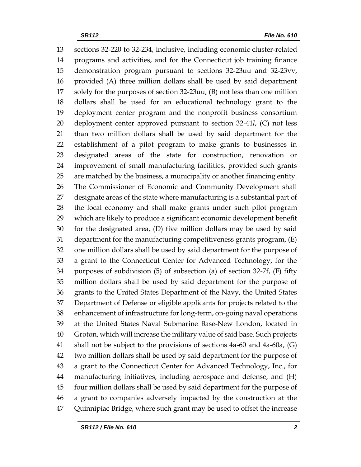sections 32-220 to 32-234, inclusive, including economic cluster-related programs and activities, and for the Connecticut job training finance demonstration program pursuant to sections 32-23uu and 32-23vv, provided (A) three million dollars shall be used by said department solely for the purposes of section 32-23uu, (B) not less than one million dollars shall be used for an educational technology grant to the deployment center program and the nonprofit business consortium deployment center approved pursuant to section 32-41*l*, (C) not less than two million dollars shall be used by said department for the establishment of a pilot program to make grants to businesses in designated areas of the state for construction, renovation or improvement of small manufacturing facilities, provided such grants are matched by the business, a municipality or another financing entity. The Commissioner of Economic and Community Development shall designate areas of the state where manufacturing is a substantial part of the local economy and shall make grants under such pilot program which are likely to produce a significant economic development benefit for the designated area, (D) five million dollars may be used by said department for the manufacturing competitiveness grants program, (E) one million dollars shall be used by said department for the purpose of a grant to the Connecticut Center for Advanced Technology, for the purposes of subdivision (5) of subsection (a) of section 32-7f, (F) fifty million dollars shall be used by said department for the purpose of grants to the United States Department of the Navy, the United States Department of Defense or eligible applicants for projects related to the enhancement of infrastructure for long-term, on-going naval operations at the United States Naval Submarine Base-New London, located in Groton, which will increase the military value of said base. Such projects shall not be subject to the provisions of sections 4a-60 and 4a-60a, (G) two million dollars shall be used by said department for the purpose of a grant to the Connecticut Center for Advanced Technology, Inc., for manufacturing initiatives, including aerospace and defense, and (H) four million dollars shall be used by said department for the purpose of a grant to companies adversely impacted by the construction at the Quinnipiac Bridge, where such grant may be used to offset the increase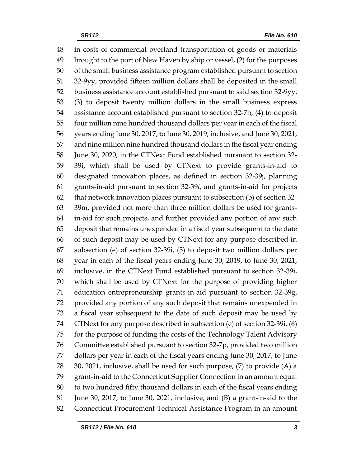in costs of commercial overland transportation of goods or materials brought to the port of New Haven by ship or vessel, (2) for the purposes of the small business assistance program established pursuant to section 32-9yy, provided fifteen million dollars shall be deposited in the small business assistance account established pursuant to said section 32-9yy, (3) to deposit twenty million dollars in the small business express assistance account established pursuant to section 32-7h, (4) to deposit four million nine hundred thousand dollars per year in each of the fiscal years ending June 30, 2017, to June 30, 2019, inclusive, and June 30, 2021, and nine million nine hundred thousand dollars in the fiscal year ending June 30, 2020, in the CTNext Fund established pursuant to section 32- 39i, which shall be used by CTNext to provide grants-in-aid to designated innovation places, as defined in section 32-39j, planning grants-in-aid pursuant to section 32-39*l*, and grants-in-aid for projects that network innovation places pursuant to subsection (b) of section 32- 39m, provided not more than three million dollars be used for grants- in-aid for such projects, and further provided any portion of any such deposit that remains unexpended in a fiscal year subsequent to the date of such deposit may be used by CTNext for any purpose described in subsection (e) of section 32-39i, (5) to deposit two million dollars per year in each of the fiscal years ending June 30, 2019, to June 30, 2021, inclusive, in the CTNext Fund established pursuant to section 32-39i, which shall be used by CTNext for the purpose of providing higher education entrepreneurship grants-in-aid pursuant to section 32-39g, provided any portion of any such deposit that remains unexpended in a fiscal year subsequent to the date of such deposit may be used by CTNext for any purpose described in subsection (e) of section 32-39i, (6) for the purpose of funding the costs of the Technology Talent Advisory Committee established pursuant to section 32-7p, provided two million dollars per year in each of the fiscal years ending June 30, 2017, to June 30, 2021, inclusive, shall be used for such purpose, (7) to provide (A) a grant-in-aid to the Connecticut Supplier Connection in an amount equal to two hundred fifty thousand dollars in each of the fiscal years ending June 30, 2017, to June 30, 2021, inclusive, and (B) a grant-in-aid to the Connecticut Procurement Technical Assistance Program in an amount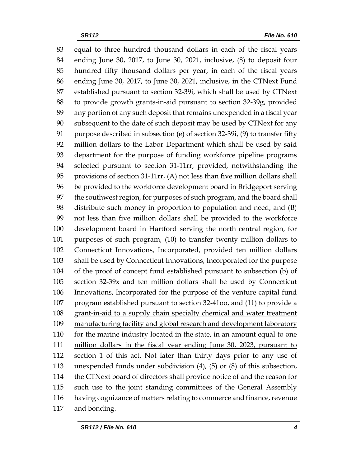equal to three hundred thousand dollars in each of the fiscal years ending June 30, 2017, to June 30, 2021, inclusive, (8) to deposit four hundred fifty thousand dollars per year, in each of the fiscal years ending June 30, 2017, to June 30, 2021, inclusive, in the CTNext Fund established pursuant to section 32-39i, which shall be used by CTNext to provide growth grants-in-aid pursuant to section 32-39g, provided any portion of any such deposit that remains unexpended in a fiscal year subsequent to the date of such deposit may be used by CTNext for any purpose described in subsection (e) of section 32-39i, (9) to transfer fifty million dollars to the Labor Department which shall be used by said department for the purpose of funding workforce pipeline programs selected pursuant to section 31-11rr, provided, notwithstanding the provisions of section 31-11rr, (A) not less than five million dollars shall be provided to the workforce development board in Bridgeport serving the southwest region, for purposes of such program, and the board shall distribute such money in proportion to population and need, and (B) not less than five million dollars shall be provided to the workforce development board in Hartford serving the north central region, for purposes of such program, (10) to transfer twenty million dollars to Connecticut Innovations, Incorporated, provided ten million dollars shall be used by Connecticut Innovations, Incorporated for the purpose of the proof of concept fund established pursuant to subsection (b) of section 32-39x and ten million dollars shall be used by Connecticut Innovations, Incorporated for the purpose of the venture capital fund program established pursuant to section 32-41oo, and (11) to provide a grant-in-aid to a supply chain specialty chemical and water treatment manufacturing facility and global research and development laboratory 110 for the marine industry located in the state, in an amount equal to one million dollars in the fiscal year ending June 30, 2023, pursuant to 112 section 1 of this act. Not later than thirty days prior to any use of unexpended funds under subdivision (4), (5) or (8) of this subsection, the CTNext board of directors shall provide notice of and the reason for such use to the joint standing committees of the General Assembly having cognizance of matters relating to commerce and finance, revenue and bonding.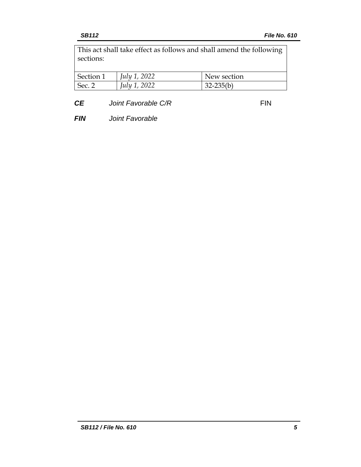This act shall take effect as follows and shall amend the following sections:

| Section 1 | July 1, 2022 | New section   |
|-----------|--------------|---------------|
| Sec. 2    | July 1, 2022 | $32 - 235(b)$ |
|           |              |               |

**CE** *Joint Favorable C/R* FIN

*FIN Joint Favorable*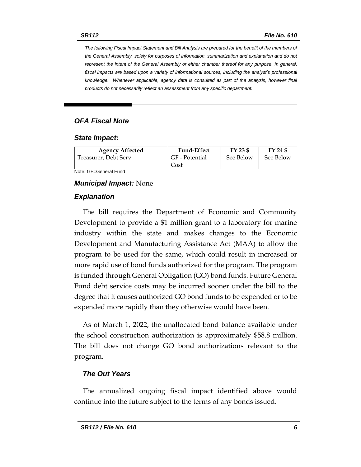*The following Fiscal Impact Statement and Bill Analysis are prepared for the benefit of the members of the General Assembly, solely for purposes of information, summarization and explanation and do not represent the intent of the General Assembly or either chamber thereof for any purpose. In general,*  fiscal impacts are based upon a variety of informational sources, including the analyst's professional *knowledge. Whenever applicable, agency data is consulted as part of the analysis, however final products do not necessarily reflect an assessment from any specific department.*

# *OFA Fiscal Note*

#### *State Impact:*

| <b>Agency Affected</b> | <b>Fund-Effect</b> | FY 23 \$  | FY 24 \$  |
|------------------------|--------------------|-----------|-----------|
| Treasurer, Debt Serv.  | GF - Potential     | See Below | See Below |
|                        | Cost               |           |           |

Note: GF=General Fund

#### *Municipal Impact:* None

#### *Explanation*

The bill requires the Department of Economic and Community Development to provide a \$1 million grant to a laboratory for marine industry within the state and makes changes to the Economic Development and Manufacturing Assistance Act (MAA) to allow the program to be used for the same, which could result in increased or more rapid use of bond funds authorized for the program. The program is funded through General Obligation (GO) bond funds. Future General Fund debt service costs may be incurred sooner under the bill to the degree that it causes authorized GO bond funds to be expended or to be expended more rapidly than they otherwise would have been.

As of March 1, 2022, the unallocated bond balance available under the school construction authorization is approximately \$58.8 million. The bill does not change GO bond authorizations relevant to the program.

### *The Out Years*

The annualized ongoing fiscal impact identified above would continue into the future subject to the terms of any bonds issued.